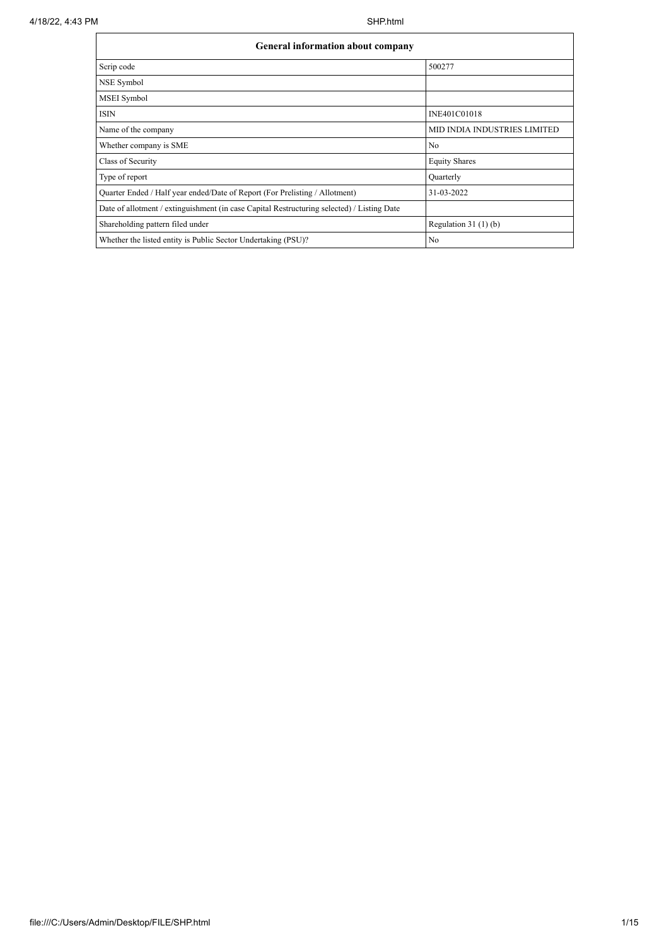| 4/18/22, 4:43 PM | SHP.html                                                                                   |                              |  |  |  |  |  |  |
|------------------|--------------------------------------------------------------------------------------------|------------------------------|--|--|--|--|--|--|
|                  | General information about company                                                          |                              |  |  |  |  |  |  |
|                  | Scrip code                                                                                 | 500277                       |  |  |  |  |  |  |
|                  | NSE Symbol                                                                                 |                              |  |  |  |  |  |  |
|                  | MSEI Symbol                                                                                |                              |  |  |  |  |  |  |
|                  | <b>ISIN</b>                                                                                | INE401C01018                 |  |  |  |  |  |  |
|                  | Name of the company                                                                        | MID INDIA INDUSTRIES LIMITED |  |  |  |  |  |  |
|                  | Whether company is SME                                                                     | N <sub>o</sub>               |  |  |  |  |  |  |
|                  | Class of Security                                                                          | <b>Equity Shares</b>         |  |  |  |  |  |  |
|                  | Type of report                                                                             | Quarterly                    |  |  |  |  |  |  |
|                  | Quarter Ended / Half year ended/Date of Report (For Prelisting / Allotment)                | 31-03-2022                   |  |  |  |  |  |  |
|                  | Date of allotment / extinguishment (in case Capital Restructuring selected) / Listing Date |                              |  |  |  |  |  |  |
|                  | Shareholding pattern filed under                                                           | Regulation $31(1)(b)$        |  |  |  |  |  |  |
|                  | Whether the listed entity is Public Sector Undertaking (PSU)?                              | N <sub>o</sub>               |  |  |  |  |  |  |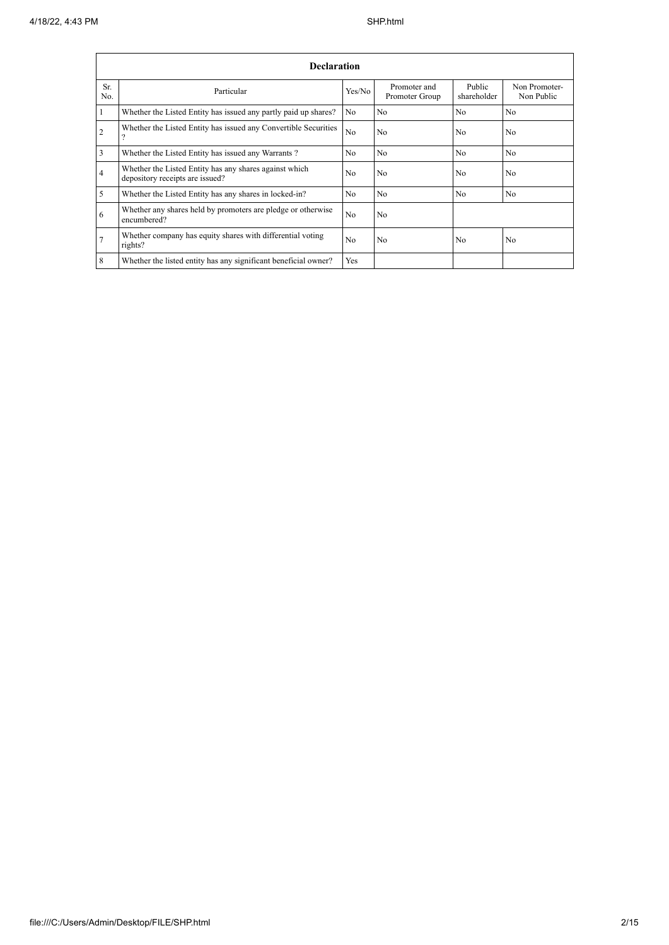| <b>Declaration</b>    |                                                                                           |                |                                |                       |                             |  |  |  |  |
|-----------------------|-------------------------------------------------------------------------------------------|----------------|--------------------------------|-----------------------|-----------------------------|--|--|--|--|
| Sr.<br>N <sub>0</sub> | Particular                                                                                | Yes/No         | Promoter and<br>Promoter Group | Public<br>shareholder | Non Promoter-<br>Non Public |  |  |  |  |
|                       | Whether the Listed Entity has issued any partly paid up shares?                           | No             | No                             | No                    | N <sub>o</sub>              |  |  |  |  |
| 2                     | Whether the Listed Entity has issued any Convertible Securities<br>$\Omega$               | N <sub>o</sub> | N <sub>0</sub>                 | No                    | No                          |  |  |  |  |
| 3                     | Whether the Listed Entity has issued any Warrants?                                        | N <sub>o</sub> | No                             | No                    | N <sub>o</sub>              |  |  |  |  |
| 4                     | Whether the Listed Entity has any shares against which<br>depository receipts are issued? | N <sub>0</sub> | N <sub>0</sub>                 | No                    | N <sub>0</sub>              |  |  |  |  |
| 5                     | Whether the Listed Entity has any shares in locked-in?                                    | N <sub>0</sub> | N <sub>0</sub>                 | No                    | N <sub>0</sub>              |  |  |  |  |
| 6                     | Whether any shares held by promoters are pledge or otherwise<br>encumbered?               | N <sub>o</sub> | N <sub>0</sub>                 |                       |                             |  |  |  |  |
| 7                     | Whether company has equity shares with differential voting<br>rights?                     | N <sub>o</sub> | N <sub>0</sub>                 | No                    | N <sub>o</sub>              |  |  |  |  |
| 8                     | Whether the listed entity has any significant beneficial owner?                           | <b>Yes</b>     |                                |                       |                             |  |  |  |  |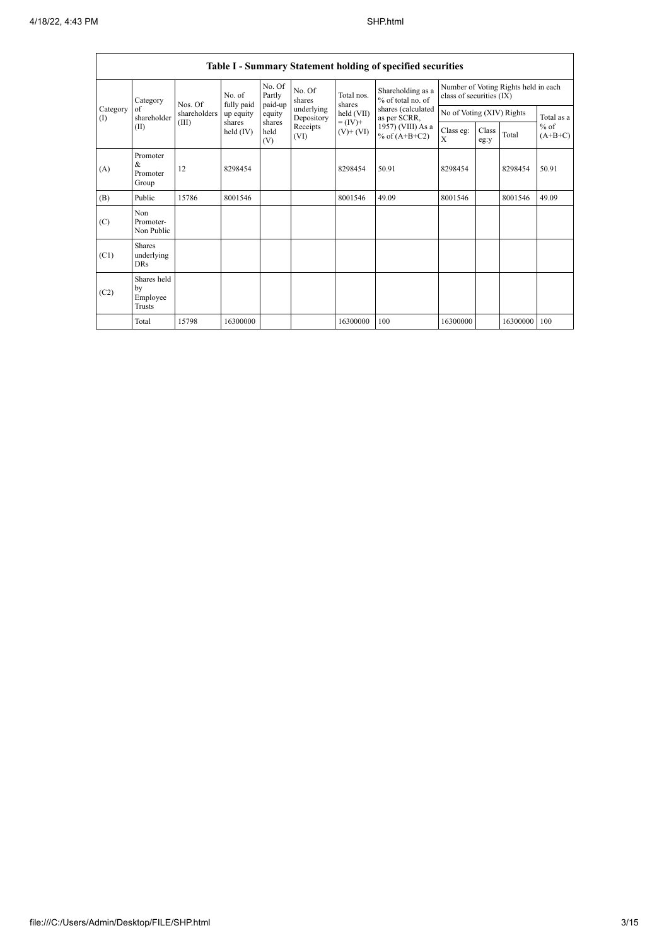ŗ

|                 | Table I - Summary Statement holding of specified securities |              |                       |                             |                          |                              |                                        |                           |               |                                      |                                   |
|-----------------|-------------------------------------------------------------|--------------|-----------------------|-----------------------------|--------------------------|------------------------------|----------------------------------------|---------------------------|---------------|--------------------------------------|-----------------------------------|
| Category<br>(1) | Category                                                    | Nos. Of      | No. of<br>fully paid  | No. Of<br>Partly<br>paid-up | No. Of<br>shares         | Total nos.<br>shares         | Shareholding as a<br>% of total no. of | class of securities (IX)  |               | Number of Voting Rights held in each |                                   |
|                 | of<br>shareholder                                           | shareholders | up equity             | equity                      | underlying<br>Depository | held (VII)                   | shares (calculated<br>as per SCRR,     | No of Voting (XIV) Rights |               |                                      | Total as a<br>$%$ of<br>$(A+B+C)$ |
|                 | (II)                                                        | (III)        | shares<br>held $(IV)$ | shares<br>held<br>(V)       | Receipts<br>(VI)         | $= (IV) +$<br>$(V)$ + $(VI)$ | 1957) (VIII) As a<br>% of $(A+B+C2)$   | Class eg:<br>X            | Class<br>eg:y | Total                                |                                   |
| (A)             | Promoter<br>&<br>Promoter<br>Group                          | 12           | 8298454               |                             |                          | 8298454                      | 50.91                                  | 8298454                   |               | 8298454                              | 50.91                             |
| (B)             | Public                                                      | 15786        | 8001546               |                             |                          | 8001546                      | 49.09                                  | 8001546                   |               | 8001546                              | 49.09                             |
| (C)             | Non<br>Promoter-<br>Non Public                              |              |                       |                             |                          |                              |                                        |                           |               |                                      |                                   |
| (C1)            | <b>Shares</b><br>underlying<br><b>DRs</b>                   |              |                       |                             |                          |                              |                                        |                           |               |                                      |                                   |
| (C2)            | Shares held<br>by<br>Employee<br><b>Trusts</b>              |              |                       |                             |                          |                              |                                        |                           |               |                                      |                                   |
|                 | Total                                                       | 15798        | 16300000              |                             |                          | 16300000                     | 100                                    | 16300000                  |               | 16300000                             | 100                               |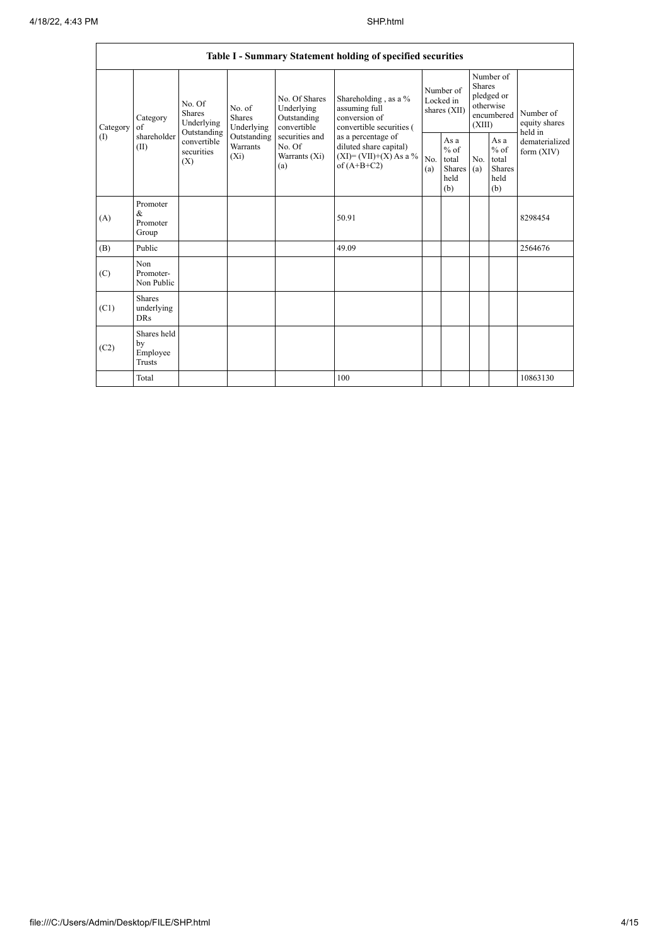|               |                                               |                                                                                          |                                                                             |                                                                                                                  | Table I - Summary Statement holding of specified securities                                                                                                                      |                                        |                                                  |                                                                               |                                                         |                                       |
|---------------|-----------------------------------------------|------------------------------------------------------------------------------------------|-----------------------------------------------------------------------------|------------------------------------------------------------------------------------------------------------------|----------------------------------------------------------------------------------------------------------------------------------------------------------------------------------|----------------------------------------|--------------------------------------------------|-------------------------------------------------------------------------------|---------------------------------------------------------|---------------------------------------|
| Category<br>( | Category<br>$\sigma$ f<br>shareholder<br>(II) | No. Of<br><b>Shares</b><br>Underlying<br>Outstanding<br>convertible<br>securities<br>(X) | No. of<br><b>Shares</b><br>Underlying<br>Outstanding<br>Warrants<br>$(X_i)$ | No. Of Shares<br>Underlying<br>Outstanding<br>convertible<br>securities and<br>No. Of<br>Warrants $(X_i)$<br>(a) | Shareholding, as a %<br>assuming full<br>conversion of<br>convertible securities (<br>as a percentage of<br>diluted share capital)<br>$(XI) = (VII)+(X) As a %$<br>of $(A+B+C2)$ | Number of<br>Locked in<br>shares (XII) |                                                  | Number of<br><b>Shares</b><br>pledged or<br>otherwise<br>encumbered<br>(XIII) |                                                         | Number of<br>equity shares<br>held in |
|               |                                               |                                                                                          |                                                                             |                                                                                                                  |                                                                                                                                                                                  | No.<br>(a)                             | As a<br>$%$ of<br>total<br>Shares<br>held<br>(b) | No.<br>(a)                                                                    | As a<br>$%$ of<br>total<br><b>Shares</b><br>held<br>(b) | dematerialized<br>form $(XIV)$        |
| (A)           | Promoter<br>&<br>Promoter<br>Group            |                                                                                          |                                                                             |                                                                                                                  | 50.91                                                                                                                                                                            |                                        |                                                  |                                                                               |                                                         | 8298454                               |
| (B)           | Public                                        |                                                                                          |                                                                             |                                                                                                                  | 49.09                                                                                                                                                                            |                                        |                                                  |                                                                               |                                                         | 2564676                               |
| (C)           | Non<br>Promoter-<br>Non Public                |                                                                                          |                                                                             |                                                                                                                  |                                                                                                                                                                                  |                                        |                                                  |                                                                               |                                                         |                                       |
| (C1)          | <b>Shares</b><br>underlying<br><b>DRs</b>     |                                                                                          |                                                                             |                                                                                                                  |                                                                                                                                                                                  |                                        |                                                  |                                                                               |                                                         |                                       |
| (C2)          | Shares held<br>by<br>Employee<br>Trusts       |                                                                                          |                                                                             |                                                                                                                  |                                                                                                                                                                                  |                                        |                                                  |                                                                               |                                                         |                                       |
|               | Total                                         |                                                                                          |                                                                             |                                                                                                                  | 100                                                                                                                                                                              |                                        |                                                  |                                                                               |                                                         | 10863130                              |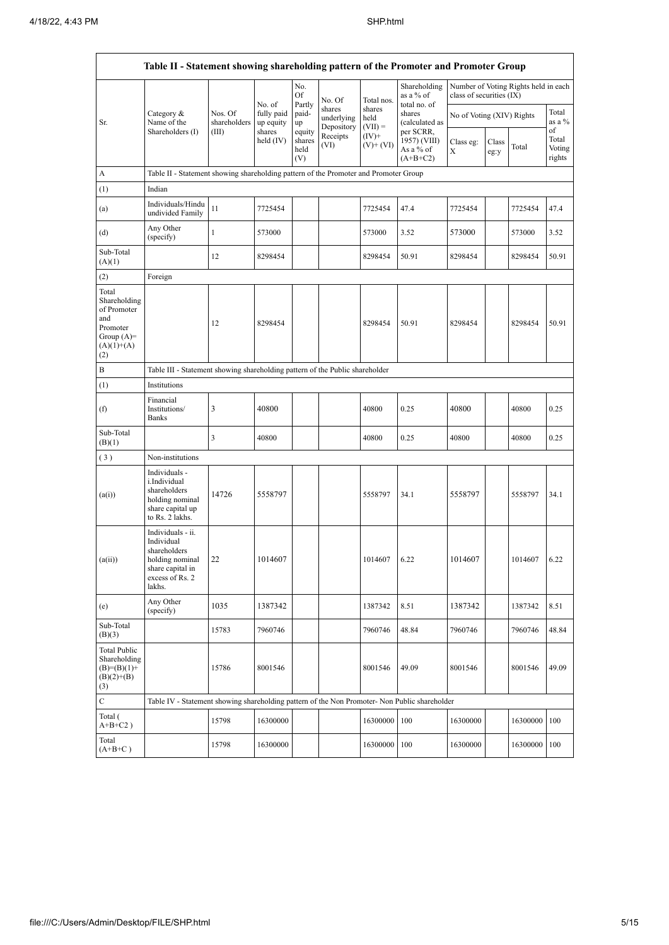|                                                                                                | Table II - Statement showing shareholding pattern of the Promoter and Promoter Group                                   |                                                                              |                         |                                 |                                    |                             |                                                       |                           |               |                                      |                           |  |
|------------------------------------------------------------------------------------------------|------------------------------------------------------------------------------------------------------------------------|------------------------------------------------------------------------------|-------------------------|---------------------------------|------------------------------------|-----------------------------|-------------------------------------------------------|---------------------------|---------------|--------------------------------------|---------------------------|--|
|                                                                                                |                                                                                                                        |                                                                              | No. of                  | No.<br>Of<br>Partly             | No. Of                             | Total nos.                  | Shareholding<br>as a % of                             | class of securities (IX)  |               | Number of Voting Rights held in each |                           |  |
| Sr.                                                                                            | Category &<br>Name of the                                                                                              | Nos. Of<br>shareholders                                                      | fully paid<br>up equity | paid-<br>up                     | shares<br>underlying<br>Depository | shares<br>held<br>$(VII) =$ | total no. of<br>shares<br>(calculated as<br>per SCRR, | No of Voting (XIV) Rights |               |                                      | Total<br>as a %<br>of     |  |
|                                                                                                | Shareholders (I)                                                                                                       | (III)                                                                        | shares<br>held $(IV)$   | equity<br>shares<br>held<br>(V) | Receipts<br>(VI)                   | $(IV)+$<br>$(V)$ + $(VI)$   | 1957) (VIII)<br>As a % of<br>$(A+B+C2)$               | Class eg:<br>X            | Class<br>eg:y | Total                                | Total<br>Voting<br>rights |  |
| A                                                                                              | Table II - Statement showing shareholding pattern of the Promoter and Promoter Group                                   |                                                                              |                         |                                 |                                    |                             |                                                       |                           |               |                                      |                           |  |
| (1)                                                                                            | Indian                                                                                                                 |                                                                              |                         |                                 |                                    |                             |                                                       |                           |               |                                      |                           |  |
| (a)                                                                                            | Individuals/Hindu<br>undivided Family                                                                                  | 11                                                                           | 7725454                 |                                 |                                    | 7725454                     | 47.4                                                  | 7725454                   |               | 7725454                              | 47.4                      |  |
| (d)                                                                                            | Any Other<br>(specify)                                                                                                 | 1                                                                            | 573000                  |                                 |                                    | 573000                      | 3.52                                                  | 573000                    |               | 573000                               | 3.52                      |  |
| Sub-Total<br>(A)(1)                                                                            |                                                                                                                        | 12                                                                           | 8298454                 |                                 |                                    | 8298454                     | 50.91                                                 | 8298454                   |               | 8298454                              | 50.91                     |  |
| (2)                                                                                            | Foreign                                                                                                                |                                                                              |                         |                                 |                                    |                             |                                                       |                           |               |                                      |                           |  |
| Total<br>Shareholding<br>of Promoter<br>and<br>Promoter<br>Group $(A)=$<br>$(A)(1)+(A)$<br>(2) |                                                                                                                        | 12                                                                           | 8298454                 |                                 |                                    | 8298454                     | 50.91                                                 | 8298454                   |               | 8298454                              | 50.91                     |  |
| B                                                                                              |                                                                                                                        | Table III - Statement showing shareholding pattern of the Public shareholder |                         |                                 |                                    |                             |                                                       |                           |               |                                      |                           |  |
| (1)                                                                                            | Institutions                                                                                                           |                                                                              |                         |                                 |                                    |                             |                                                       |                           |               |                                      |                           |  |
| (f)                                                                                            | Financial<br>Institutions/<br>Banks                                                                                    | 3                                                                            | 40800                   |                                 |                                    | 40800                       | 0.25                                                  | 40800                     |               | 40800                                | 0.25                      |  |
| Sub-Total<br>(B)(1)                                                                            |                                                                                                                        | 3                                                                            | 40800                   |                                 |                                    | 40800                       | 0.25                                                  | 40800                     |               | 40800                                | 0.25                      |  |
| $(\sqrt{3})$                                                                                   | Non-institutions                                                                                                       |                                                                              |                         |                                 |                                    |                             |                                                       |                           |               |                                      |                           |  |
| (a(i))                                                                                         | Individuals -<br>i.Individual<br>shareholders<br>holding nominal<br>share capital up<br>to Rs. 2 lakhs.                | 14726                                                                        | 5558797                 |                                 |                                    | 5558797                     | 34.1                                                  | 5558797                   |               | 5558797                              | 34.1                      |  |
| (a(ii))                                                                                        | Individuals - ii.<br>Individual<br>shareholders<br>holding nominal 22<br>share capital in<br>excess of Rs. 2<br>lakhs. |                                                                              | 1014607                 |                                 |                                    | 1014607                     | 6.22                                                  | 1014607                   |               | 1014607                              | 6.22                      |  |
| (e)                                                                                            | Any Other<br>(specify)                                                                                                 | 1035                                                                         | 1387342                 |                                 |                                    | 1387342                     | 8.51                                                  | 1387342                   |               | 1387342                              | 8.51                      |  |
| Sub-Total<br>(B)(3)                                                                            |                                                                                                                        | 15783                                                                        | 7960746                 |                                 |                                    | 7960746                     | 48.84                                                 | 7960746                   |               | 7960746                              | 48.84                     |  |
| <b>Total Public</b><br>Shareholding<br>$(B)= (B)(1) +$<br>$(B)(2)+(B)$<br>(3)                  |                                                                                                                        | 15786                                                                        | 8001546                 |                                 |                                    | 8001546                     | 49.09                                                 | 8001546                   |               | 8001546                              | 49.09                     |  |
| $\mathbf C$                                                                                    | Table IV - Statement showing shareholding pattern of the Non Promoter- Non Public shareholder                          |                                                                              |                         |                                 |                                    |                             |                                                       |                           |               |                                      |                           |  |
| Total (<br>$A+B+C2$ )                                                                          |                                                                                                                        | 15798                                                                        | 16300000                |                                 |                                    | 16300000                    | 100                                                   | 16300000                  |               | 16300000                             | 100                       |  |
| Total<br>$(A+B+C)$                                                                             |                                                                                                                        | 15798                                                                        | 16300000                |                                 |                                    | 16300000                    | 100                                                   | 16300000                  |               | 16300000                             | 100                       |  |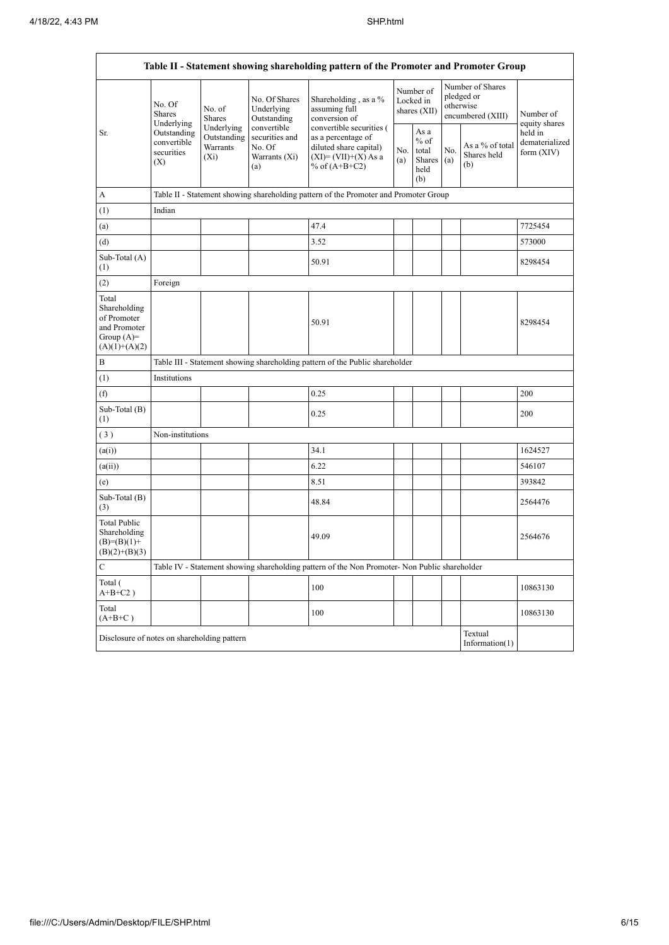| Table II - Statement showing shareholding pattern of the Promoter and Promoter Group    |                                                 |                                                                                                                     |                                            |                                                                                                                      |  |                                                  |                                                                  |                                       |                                           |  |  |
|-----------------------------------------------------------------------------------------|-------------------------------------------------|---------------------------------------------------------------------------------------------------------------------|--------------------------------------------|----------------------------------------------------------------------------------------------------------------------|--|--------------------------------------------------|------------------------------------------------------------------|---------------------------------------|-------------------------------------------|--|--|
|                                                                                         | No. Of<br>Shares<br>Underlying                  | No. of<br>Shares                                                                                                    | No. Of Shares<br>Underlying<br>Outstanding | Shareholding, as a %<br>assuming full<br>conversion of                                                               |  | Number of<br>Locked in<br>shares $(XII)$         | Number of Shares<br>pledged or<br>otherwise<br>encumbered (XIII) |                                       | Number of<br>equity shares                |  |  |
| Sr.                                                                                     | Outstanding<br>convertible<br>securities<br>(X) | Underlying<br>convertible<br>Outstanding<br>securities and<br>Warrants<br>No. Of<br>$(X_i)$<br>Warrants (Xi)<br>(a) |                                            | convertible securities (<br>as a percentage of<br>diluted share capital)<br>$(XI)=(VII)+(X) As a$<br>% of $(A+B+C2)$ |  | As a<br>$%$ of<br>total<br>Shares<br>held<br>(b) | No.<br>(a)                                                       | As a % of total<br>Shares held<br>(b) | held in<br>dematerialized<br>form $(XIV)$ |  |  |
| A                                                                                       |                                                 |                                                                                                                     |                                            | Table II - Statement showing shareholding pattern of the Promoter and Promoter Group                                 |  |                                                  |                                                                  |                                       |                                           |  |  |
| (1)                                                                                     | Indian                                          |                                                                                                                     |                                            |                                                                                                                      |  |                                                  |                                                                  |                                       |                                           |  |  |
| (a)                                                                                     |                                                 |                                                                                                                     |                                            | 47.4                                                                                                                 |  |                                                  |                                                                  |                                       | 7725454                                   |  |  |
| (d)                                                                                     |                                                 |                                                                                                                     |                                            | 3.52                                                                                                                 |  |                                                  |                                                                  |                                       | 573000                                    |  |  |
| Sub-Total (A)<br>(1)                                                                    |                                                 |                                                                                                                     |                                            | 50.91                                                                                                                |  |                                                  |                                                                  |                                       | 8298454                                   |  |  |
| (2)                                                                                     | Foreign                                         |                                                                                                                     |                                            |                                                                                                                      |  |                                                  |                                                                  |                                       |                                           |  |  |
| Total<br>Shareholding<br>of Promoter<br>and Promoter<br>Group $(A)=$<br>$(A)(1)+(A)(2)$ |                                                 |                                                                                                                     |                                            | 50.91                                                                                                                |  |                                                  |                                                                  |                                       | 8298454                                   |  |  |
| B                                                                                       |                                                 | Table III - Statement showing shareholding pattern of the Public shareholder                                        |                                            |                                                                                                                      |  |                                                  |                                                                  |                                       |                                           |  |  |
| (1)                                                                                     | Institutions                                    |                                                                                                                     |                                            |                                                                                                                      |  |                                                  |                                                                  |                                       |                                           |  |  |
| (f)                                                                                     |                                                 |                                                                                                                     |                                            | 0.25                                                                                                                 |  |                                                  |                                                                  |                                       | 200                                       |  |  |
| Sub-Total (B)<br>(1)                                                                    |                                                 |                                                                                                                     |                                            | 0.25                                                                                                                 |  |                                                  |                                                                  |                                       | 200                                       |  |  |
| (3)                                                                                     | Non-institutions                                |                                                                                                                     |                                            |                                                                                                                      |  |                                                  |                                                                  |                                       |                                           |  |  |
| (a(i))                                                                                  |                                                 |                                                                                                                     |                                            | 34.1                                                                                                                 |  |                                                  |                                                                  |                                       | 1624527                                   |  |  |
| (a(ii))                                                                                 |                                                 |                                                                                                                     |                                            | 6.22                                                                                                                 |  |                                                  |                                                                  |                                       | 546107                                    |  |  |
| (e)                                                                                     |                                                 |                                                                                                                     |                                            | 8.51                                                                                                                 |  |                                                  |                                                                  |                                       | 393842                                    |  |  |
| Sub-Total (B)<br>(3)                                                                    |                                                 |                                                                                                                     |                                            | 48.84                                                                                                                |  |                                                  |                                                                  |                                       | 2564476                                   |  |  |
| <b>Total Public</b><br>Shareholding<br>$(B)=(B)(1)+$<br>$(B)(2)+(B)(3)$                 |                                                 |                                                                                                                     |                                            | 49.09                                                                                                                |  |                                                  |                                                                  |                                       | 2564676                                   |  |  |
| $\mathbf C$                                                                             |                                                 |                                                                                                                     |                                            | Table IV - Statement showing shareholding pattern of the Non Promoter- Non Public shareholder                        |  |                                                  |                                                                  |                                       |                                           |  |  |
| Total (<br>$A+B+C2$ )                                                                   |                                                 |                                                                                                                     |                                            | 100                                                                                                                  |  |                                                  |                                                                  |                                       | 10863130                                  |  |  |
| Total<br>$(A+B+C)$                                                                      |                                                 |                                                                                                                     |                                            | 100                                                                                                                  |  |                                                  |                                                                  |                                       | 10863130                                  |  |  |
| Textual<br>Disclosure of notes on shareholding pattern<br>Information(1)                |                                                 |                                                                                                                     |                                            |                                                                                                                      |  |                                                  |                                                                  |                                       |                                           |  |  |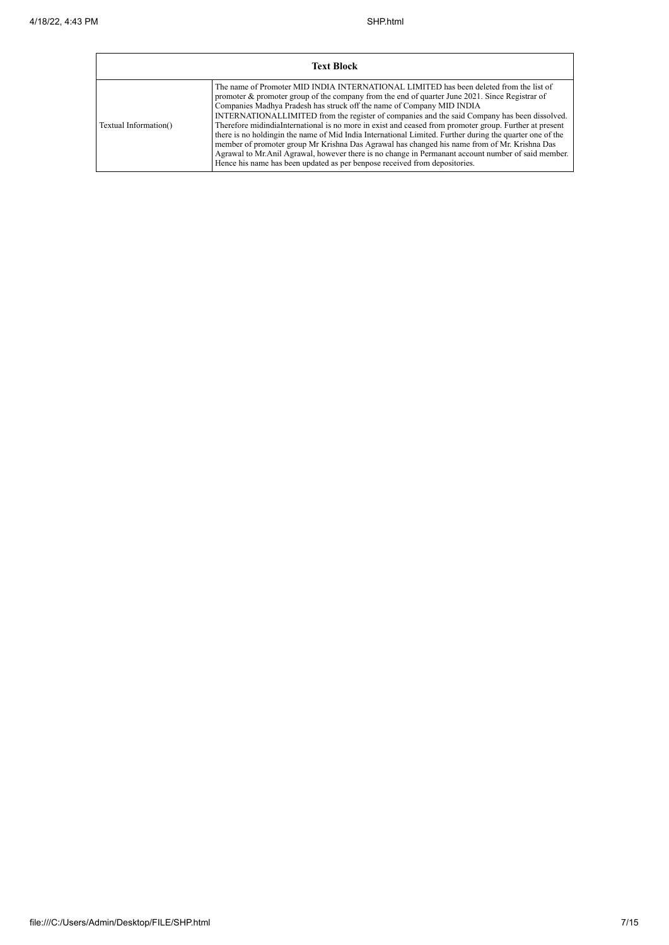| <b>Text Block</b>     |                                                                                                                                                                                                                                                                                                                                                                                                                                                                                                                                                                                                                                                                                                                                                                                                                                                                                  |  |  |  |  |  |  |
|-----------------------|----------------------------------------------------------------------------------------------------------------------------------------------------------------------------------------------------------------------------------------------------------------------------------------------------------------------------------------------------------------------------------------------------------------------------------------------------------------------------------------------------------------------------------------------------------------------------------------------------------------------------------------------------------------------------------------------------------------------------------------------------------------------------------------------------------------------------------------------------------------------------------|--|--|--|--|--|--|
| Textual Information() | The name of Promoter MID INDIA INTERNATIONAL LIMITED has been deleted from the list of<br>promoter $\&$ promoter group of the company from the end of quarter June 2021. Since Registrar of<br>Companies Madhya Pradesh has struck off the name of Company MID INDIA<br>INTERNATIONALLIMITED from the register of companies and the said Company has been dissolved.<br>Therefore midindiaInternational is no more in exist and ceased from promoter group. Further at present<br>there is no holding in the name of Mid India International Limited. Further during the quarter one of the<br>member of promoter group Mr Krishna Das Agrawal has changed his name from of Mr. Krishna Das<br>Agrawal to Mr. Anil Agrawal, however there is no change in Permanant account number of said member.<br>Hence his name has been updated as per benpose received from depositories. |  |  |  |  |  |  |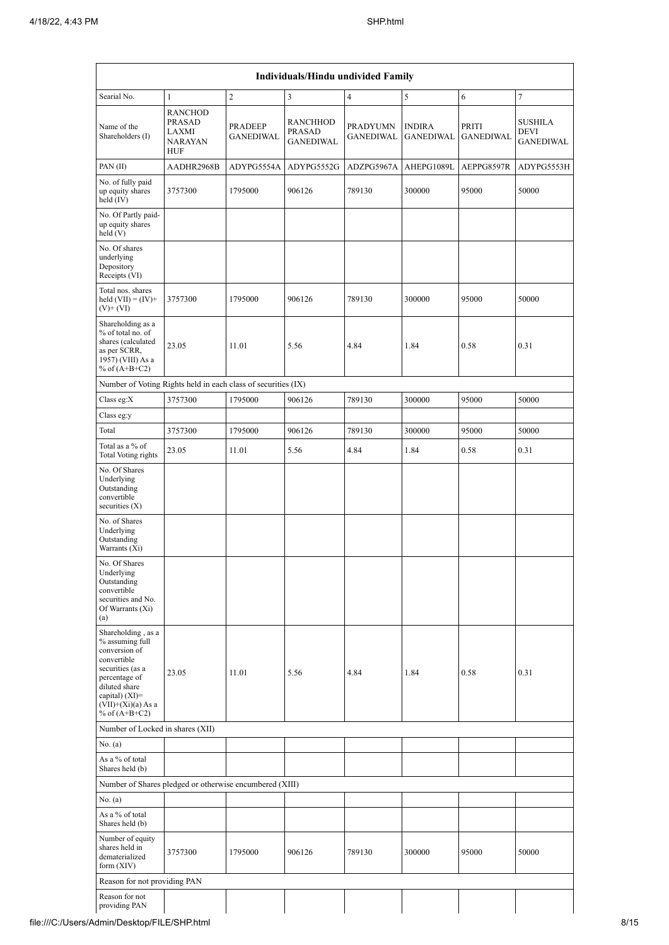| Individuals/Hindu undivided Family                                                                                                                                                       |                                                                          |                             |                                        |                                     |                                   |                           |                                                   |  |  |  |
|------------------------------------------------------------------------------------------------------------------------------------------------------------------------------------------|--------------------------------------------------------------------------|-----------------------------|----------------------------------------|-------------------------------------|-----------------------------------|---------------------------|---------------------------------------------------|--|--|--|
| Searial No.                                                                                                                                                                              | $\mathbf{1}$                                                             | 2                           | 3                                      | $\overline{4}$                      | 5                                 | 6                         | $\tau$                                            |  |  |  |
| Name of the<br>Shareholders (I)                                                                                                                                                          | <b>RANCHOD</b><br><b>PRASAD</b><br>LAXMI<br><b>NARAYAN</b><br><b>HUF</b> | PRADEEP<br><b>GANEDIWAL</b> | RANCHHOD<br>PRASAD<br><b>GANEDIWAL</b> | <b>PRADYUMN</b><br><b>GANEDIWAL</b> | <b>INDIRA</b><br><b>GANEDIWAL</b> | PRITI<br><b>GANEDIWAL</b> | <b>SUSHILA</b><br><b>DEVI</b><br><b>GANEDIWAL</b> |  |  |  |
| PAN $(II)$                                                                                                                                                                               | AADHR2968B                                                               | ADYPG5554A                  | ADYPG5552G                             | ADZPG5967A                          | AHEPG1089L                        | AEPPG8597R                | ADYPG5553H                                        |  |  |  |
| No. of fully paid<br>up equity shares<br>held (IV)                                                                                                                                       | 3757300                                                                  | 1795000                     | 906126                                 | 789130                              | 300000                            | 95000                     | 50000                                             |  |  |  |
| No. Of Partly paid-<br>up equity shares<br>held(V)                                                                                                                                       |                                                                          |                             |                                        |                                     |                                   |                           |                                                   |  |  |  |
| No. Of shares<br>underlying<br>Depository<br>Receipts (VI)                                                                                                                               |                                                                          |                             |                                        |                                     |                                   |                           |                                                   |  |  |  |
| Total nos. shares<br>held $(VII) = (IV) +$<br>$(V)$ + $(VI)$                                                                                                                             | 3757300                                                                  | 1795000                     | 906126                                 | 789130                              | 300000                            | 95000                     | 50000                                             |  |  |  |
| Shareholding as a<br>% of total no. of<br>shares (calculated<br>as per SCRR,<br>1957) (VIII) As a<br>% of $(A+B+C2)$                                                                     | 23.05                                                                    | 11.01                       | 5.56                                   | 4.84                                | 1.84                              | 0.58                      | 0.31                                              |  |  |  |
| Number of Voting Rights held in each class of securities (IX)                                                                                                                            |                                                                          |                             |                                        |                                     |                                   |                           |                                                   |  |  |  |
| Class eg: $X$                                                                                                                                                                            | 3757300                                                                  | 1795000                     | 906126                                 | 789130                              | 300000                            | 95000                     | 50000                                             |  |  |  |
| Class eg:y                                                                                                                                                                               |                                                                          |                             |                                        |                                     |                                   |                           |                                                   |  |  |  |
| Total                                                                                                                                                                                    | 3757300                                                                  | 1795000                     | 906126                                 | 789130                              | 300000                            | 95000                     | 50000                                             |  |  |  |
| Total as a % of<br>Total Voting rights                                                                                                                                                   | 23.05                                                                    | 11.01                       | 5.56                                   | 4.84                                | 1.84                              | 0.58                      | 0.31                                              |  |  |  |
| No. Of Shares<br>Underlying<br>Outstanding<br>convertible<br>securities $(X)$                                                                                                            |                                                                          |                             |                                        |                                     |                                   |                           |                                                   |  |  |  |
| No. of Shares<br>Underlying<br>Outstanding<br>Warrants (Xi)                                                                                                                              |                                                                          |                             |                                        |                                     |                                   |                           |                                                   |  |  |  |
| No. Of Shares<br>Underlying<br>Outstanding<br>convertible<br>securities and No.<br>Of Warrants (Xi)<br>(a)                                                                               |                                                                          |                             |                                        |                                     |                                   |                           |                                                   |  |  |  |
| Shareholding, as a<br>% assuming full<br>conversion of<br>convertible<br>securities (as a<br>percentage of<br>diluted share<br>capital) (XI)=<br>$(VII)+(Xi)(a) As a$<br>% of $(A+B+C2)$ | 23.05                                                                    | 11.01                       | 5.56                                   | 4.84                                | 1.84                              | 0.58                      | 0.31                                              |  |  |  |
| Number of Locked in shares (XII)                                                                                                                                                         |                                                                          |                             |                                        |                                     |                                   |                           |                                                   |  |  |  |
| No. (a)                                                                                                                                                                                  |                                                                          |                             |                                        |                                     |                                   |                           |                                                   |  |  |  |
| As a % of total<br>Shares held (b)                                                                                                                                                       |                                                                          |                             |                                        |                                     |                                   |                           |                                                   |  |  |  |
| Number of Shares pledged or otherwise encumbered (XIII)                                                                                                                                  |                                                                          |                             |                                        |                                     |                                   |                           |                                                   |  |  |  |
| No. (a)                                                                                                                                                                                  |                                                                          |                             |                                        |                                     |                                   |                           |                                                   |  |  |  |
| As a % of total<br>Shares held (b)                                                                                                                                                       |                                                                          |                             |                                        |                                     |                                   |                           |                                                   |  |  |  |
| Number of equity<br>shares held in<br>dematerialized<br>form $(XIV)$                                                                                                                     | 3757300                                                                  | 1795000                     | 906126                                 | 789130                              | 300000                            | 95000                     | 50000                                             |  |  |  |
| Reason for not providing PAN                                                                                                                                                             |                                                                          |                             |                                        |                                     |                                   |                           |                                                   |  |  |  |
| Reason for not<br>providing PAN                                                                                                                                                          |                                                                          |                             |                                        |                                     |                                   |                           |                                                   |  |  |  |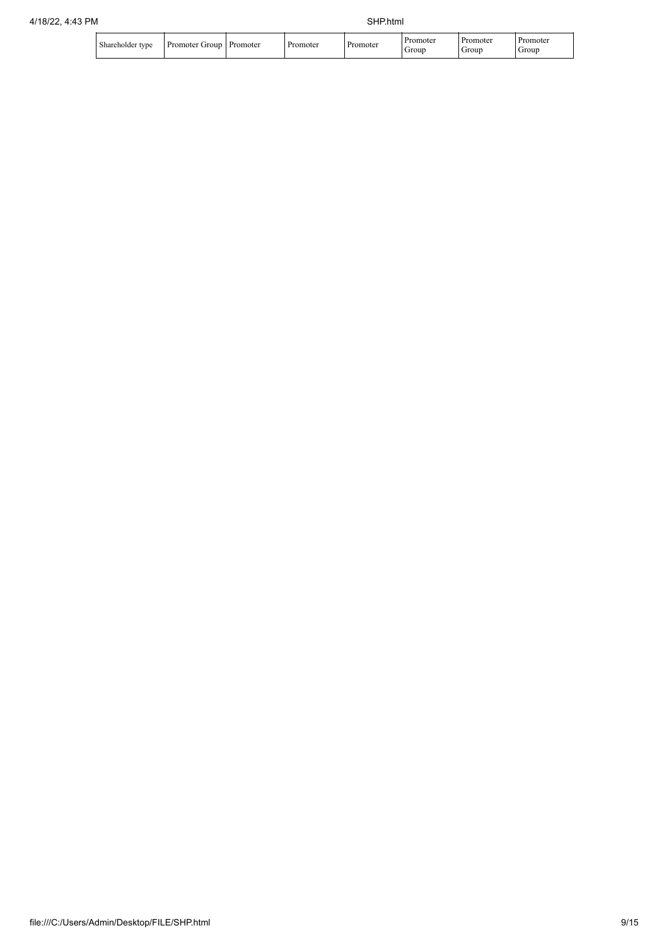| Shareholder tvpe | Group<br>Promoter ( | Promoter | Promoter | Promoter | <b>Promoter</b><br>Group | Promoter<br>Group | <b>Promoter</b><br>Group |
|------------------|---------------------|----------|----------|----------|--------------------------|-------------------|--------------------------|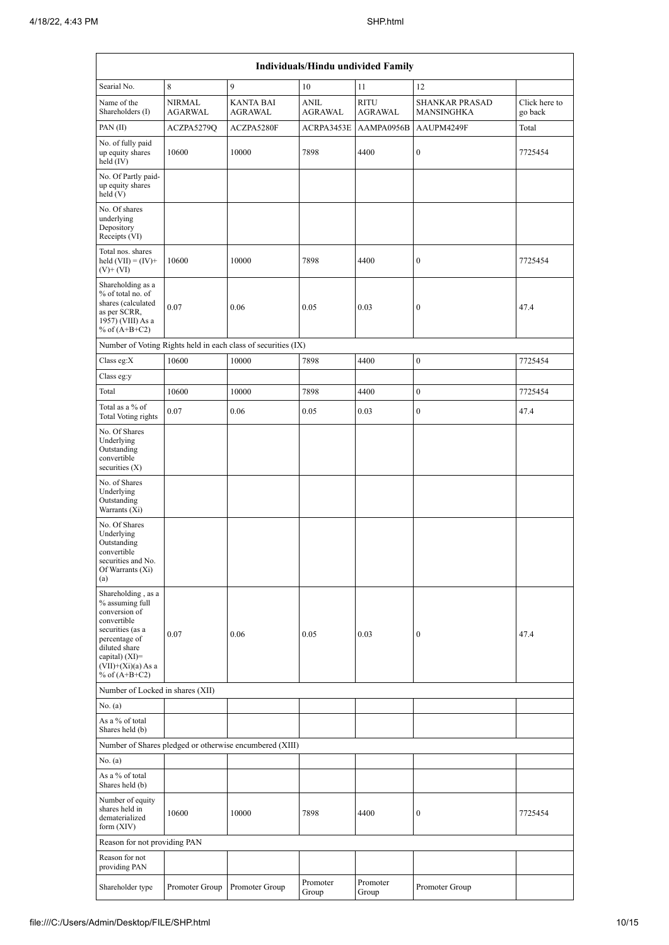| Individuals/Hindu undivided Family                                                                                                                                                         |                                 |                                                               |                        |                        |                                            |                          |  |  |  |  |
|--------------------------------------------------------------------------------------------------------------------------------------------------------------------------------------------|---------------------------------|---------------------------------------------------------------|------------------------|------------------------|--------------------------------------------|--------------------------|--|--|--|--|
| Searial No.                                                                                                                                                                                | 8                               | 9                                                             | 10                     | 11                     | 12                                         |                          |  |  |  |  |
| Name of the<br>Shareholders (I)                                                                                                                                                            | <b>NIRMAL</b><br><b>AGARWAL</b> | <b>KANTA BAI</b><br>AGRAWAL                                   | <b>ANIL</b><br>AGRAWAL | <b>RITU</b><br>AGRAWAL | <b>SHANKAR PRASAD</b><br><b>MANSINGHKA</b> | Click here to<br>go back |  |  |  |  |
| PAN(II)                                                                                                                                                                                    | ACZPA5279Q                      | ACZPA5280F                                                    | ACRPA3453E             | AAMPA0956B             | AAUPM4249F                                 | Total                    |  |  |  |  |
| No. of fully paid<br>up equity shares<br>held (IV)                                                                                                                                         | 10600                           | 10000                                                         | 7898                   | 4400                   | $\boldsymbol{0}$                           | 7725454                  |  |  |  |  |
| No. Of Partly paid-<br>up equity shares<br>held(V)                                                                                                                                         |                                 |                                                               |                        |                        |                                            |                          |  |  |  |  |
| No. Of shares<br>underlying<br>Depository<br>Receipts (VI)                                                                                                                                 |                                 |                                                               |                        |                        |                                            |                          |  |  |  |  |
| Total nos. shares<br>held $(VII) = (IV) +$<br>$(V)+(VI)$                                                                                                                                   | 10600                           | 10000                                                         | 7898                   | 4400                   | $\boldsymbol{0}$                           | 7725454                  |  |  |  |  |
| Shareholding as a<br>% of total no. of<br>shares (calculated<br>as per SCRR,<br>1957) (VIII) As a<br>% of $(A+B+C2)$                                                                       | 0.07                            | 0.06                                                          | 0.05                   | 0.03                   | $\boldsymbol{0}$                           | 47.4                     |  |  |  |  |
|                                                                                                                                                                                            |                                 | Number of Voting Rights held in each class of securities (IX) |                        |                        |                                            |                          |  |  |  |  |
| Class eg:X                                                                                                                                                                                 | 10600                           | 10000                                                         | 7898                   | 4400                   | $\boldsymbol{0}$                           | 7725454                  |  |  |  |  |
| Class eg:y                                                                                                                                                                                 |                                 |                                                               |                        |                        |                                            |                          |  |  |  |  |
| Total                                                                                                                                                                                      | 10600                           | 10000                                                         | 7898                   | 4400                   | $\boldsymbol{0}$                           | 7725454                  |  |  |  |  |
| Total as a % of<br>Total Voting rights                                                                                                                                                     | 0.07                            | 0.06                                                          | 0.05                   | 0.03                   | $\boldsymbol{0}$                           | 47.4                     |  |  |  |  |
| No. Of Shares<br>Underlying<br>Outstanding<br>convertible<br>securities $(X)$                                                                                                              |                                 |                                                               |                        |                        |                                            |                          |  |  |  |  |
| No. of Shares<br>Underlying<br>Outstanding<br>Warrants (Xi)                                                                                                                                |                                 |                                                               |                        |                        |                                            |                          |  |  |  |  |
| No. Of Shares<br>Underlying<br>Outstanding<br>convertible<br>securities and No.<br>Of Warrants (Xi)<br>(a)                                                                                 |                                 |                                                               |                        |                        |                                            |                          |  |  |  |  |
| Shareholding, as a<br>% assuming full<br>conversion of<br>convertible<br>securities (as a<br>percentage of<br>diluted share<br>capital) $(XI)=$<br>$(VII)+(Xi)(a) As a$<br>% of $(A+B+C2)$ | 0.07                            | 0.06                                                          | 0.05                   | 0.03                   | $\boldsymbol{0}$                           | 47.4                     |  |  |  |  |
| Number of Locked in shares (XII)                                                                                                                                                           |                                 |                                                               |                        |                        |                                            |                          |  |  |  |  |
| No. (a)                                                                                                                                                                                    |                                 |                                                               |                        |                        |                                            |                          |  |  |  |  |
| As a % of total<br>Shares held (b)                                                                                                                                                         |                                 |                                                               |                        |                        |                                            |                          |  |  |  |  |
|                                                                                                                                                                                            |                                 | Number of Shares pledged or otherwise encumbered (XIII)       |                        |                        |                                            |                          |  |  |  |  |
| No. (a)                                                                                                                                                                                    |                                 |                                                               |                        |                        |                                            |                          |  |  |  |  |
| As a % of total<br>Shares held (b)                                                                                                                                                         |                                 |                                                               |                        |                        |                                            |                          |  |  |  |  |
| Number of equity<br>shares held in<br>dematerialized<br>form (XIV)                                                                                                                         | 10600                           | 10000                                                         | 7898                   | 4400                   | 0                                          | 7725454                  |  |  |  |  |
| Reason for not providing PAN                                                                                                                                                               |                                 |                                                               |                        |                        |                                            |                          |  |  |  |  |
| Reason for not<br>providing PAN                                                                                                                                                            |                                 |                                                               |                        |                        |                                            |                          |  |  |  |  |
| Shareholder type                                                                                                                                                                           | Promoter Group                  | Promoter Group                                                | Promoter<br>Group      | Promoter<br>Group      | Promoter Group                             |                          |  |  |  |  |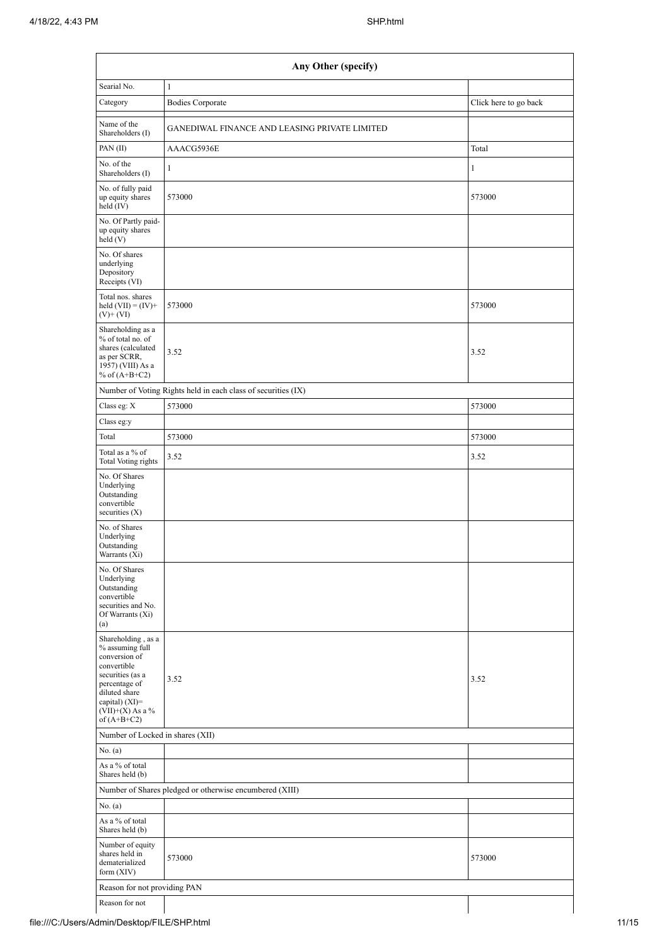| Any Other (specify)                                                                                                                                                                  |                                                               |                       |  |  |  |  |  |  |  |
|--------------------------------------------------------------------------------------------------------------------------------------------------------------------------------------|---------------------------------------------------------------|-----------------------|--|--|--|--|--|--|--|
| Searial No.                                                                                                                                                                          | $\mathbf{1}$                                                  |                       |  |  |  |  |  |  |  |
| Category                                                                                                                                                                             | <b>Bodies Corporate</b>                                       | Click here to go back |  |  |  |  |  |  |  |
| Name of the<br>Shareholders (I)                                                                                                                                                      | GANEDIWAL FINANCE AND LEASING PRIVATE LIMITED                 |                       |  |  |  |  |  |  |  |
| PAN(II)                                                                                                                                                                              | AAACG5936E                                                    | Total                 |  |  |  |  |  |  |  |
| No. of the<br>Shareholders (I)                                                                                                                                                       | $\mathbf{1}$                                                  | 1                     |  |  |  |  |  |  |  |
| No. of fully paid<br>up equity shares<br>held (IV)                                                                                                                                   | 573000                                                        | 573000                |  |  |  |  |  |  |  |
| No. Of Partly paid-<br>up equity shares<br>held(V)                                                                                                                                   |                                                               |                       |  |  |  |  |  |  |  |
| No. Of shares<br>underlying<br>Depository<br>Receipts (VI)                                                                                                                           |                                                               |                       |  |  |  |  |  |  |  |
| Total nos. shares<br>held $(VII) = (IV) +$<br>$(V)$ + $(VI)$                                                                                                                         | 573000                                                        | 573000                |  |  |  |  |  |  |  |
| Shareholding as a<br>% of total no. of<br>shares (calculated<br>as per SCRR,<br>1957) (VIII) As a<br>% of $(A+B+C2)$                                                                 | 3.52                                                          | 3.52                  |  |  |  |  |  |  |  |
|                                                                                                                                                                                      | Number of Voting Rights held in each class of securities (IX) |                       |  |  |  |  |  |  |  |
| Class eg: X                                                                                                                                                                          | 573000                                                        | 573000                |  |  |  |  |  |  |  |
| Class eg:y                                                                                                                                                                           |                                                               |                       |  |  |  |  |  |  |  |
| Total                                                                                                                                                                                | 573000                                                        | 573000                |  |  |  |  |  |  |  |
| Total as a % of<br>Total Voting rights                                                                                                                                               | 3.52                                                          | 3.52                  |  |  |  |  |  |  |  |
| No. Of Shares<br>Underlying<br>Outstanding<br>convertible<br>securities $(X)$                                                                                                        |                                                               |                       |  |  |  |  |  |  |  |
| No. of Shares<br>Underlying<br>Outstanding<br>Warrants (Xi)                                                                                                                          |                                                               |                       |  |  |  |  |  |  |  |
| No. Of Shares<br>Underlying<br>Outstanding<br>convertible<br>securities and No.<br>Of Warrants (Xi)<br>(a)                                                                           |                                                               |                       |  |  |  |  |  |  |  |
| Shareholding, as a<br>% assuming full<br>conversion of<br>convertible<br>securities (as a<br>percentage of<br>diluted share<br>capital) (XI)=<br>$(VII)+(X)$ As a %<br>of $(A+B+C2)$ | 3.52                                                          | 3.52                  |  |  |  |  |  |  |  |
| Number of Locked in shares (XII)                                                                                                                                                     |                                                               |                       |  |  |  |  |  |  |  |
| No. (a)                                                                                                                                                                              |                                                               |                       |  |  |  |  |  |  |  |
| As a % of total<br>Shares held (b)                                                                                                                                                   |                                                               |                       |  |  |  |  |  |  |  |
| Number of Shares pledged or otherwise encumbered (XIII)                                                                                                                              |                                                               |                       |  |  |  |  |  |  |  |
| No. (a)                                                                                                                                                                              |                                                               |                       |  |  |  |  |  |  |  |
| As a % of total<br>Shares held (b)                                                                                                                                                   |                                                               |                       |  |  |  |  |  |  |  |
| Number of equity<br>shares held in<br>dematerialized<br>form $(XIV)$                                                                                                                 | 573000                                                        | 573000                |  |  |  |  |  |  |  |
| Reason for not providing PAN                                                                                                                                                         |                                                               |                       |  |  |  |  |  |  |  |
| Reason for not                                                                                                                                                                       |                                                               |                       |  |  |  |  |  |  |  |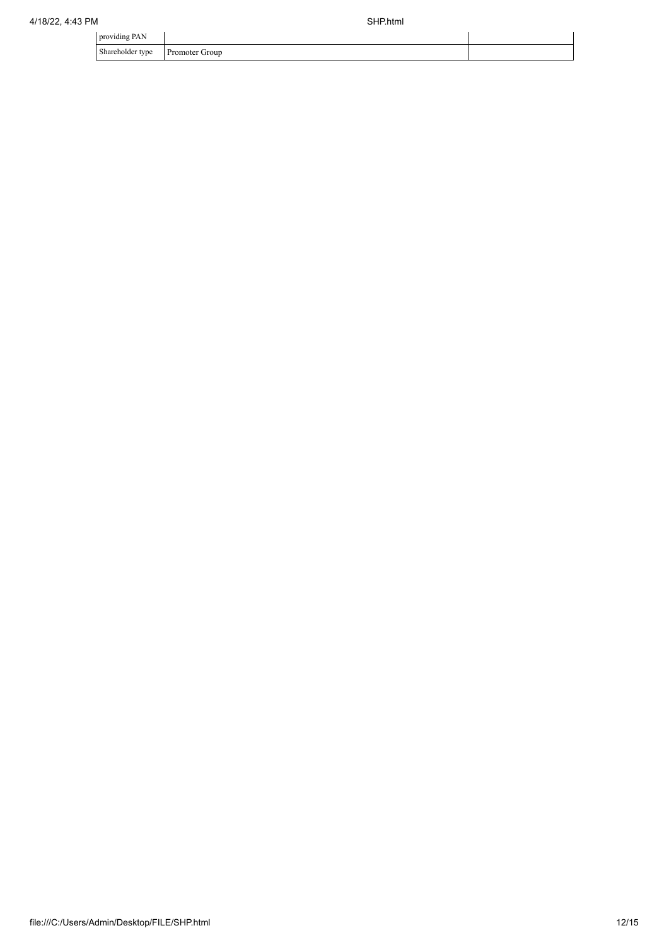| providing PAN    |                |  |
|------------------|----------------|--|
| Shareholder type | Promoter Group |  |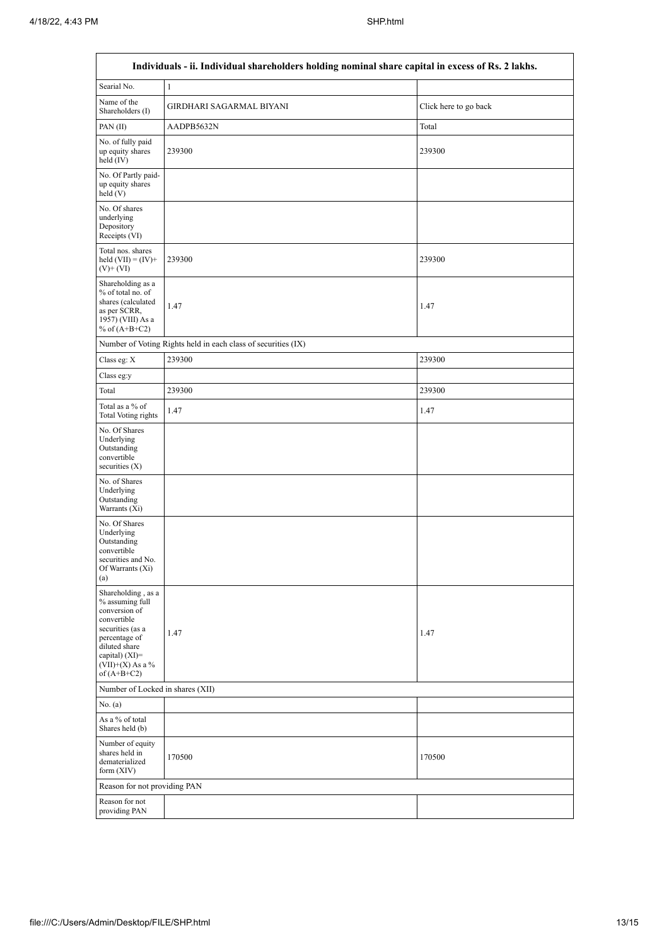| Individuals - ii. Individual shareholders holding nominal share capital in excess of Rs. 2 lakhs.                                                                                    |                                                               |                       |  |  |  |  |  |  |  |  |
|--------------------------------------------------------------------------------------------------------------------------------------------------------------------------------------|---------------------------------------------------------------|-----------------------|--|--|--|--|--|--|--|--|
| Searial No.                                                                                                                                                                          | $\mathbf{1}$                                                  |                       |  |  |  |  |  |  |  |  |
| Name of the<br>Shareholders (I)                                                                                                                                                      | GIRDHARI SAGARMAL BIYANI                                      | Click here to go back |  |  |  |  |  |  |  |  |
| PAN $(II)$                                                                                                                                                                           | AADPB5632N                                                    | Total                 |  |  |  |  |  |  |  |  |
| No. of fully paid<br>up equity shares<br>held (IV)                                                                                                                                   | 239300                                                        | 239300                |  |  |  |  |  |  |  |  |
| No. Of Partly paid-<br>up equity shares<br>held(V)                                                                                                                                   |                                                               |                       |  |  |  |  |  |  |  |  |
| No. Of shares<br>underlying<br>Depository<br>Receipts (VI)                                                                                                                           |                                                               |                       |  |  |  |  |  |  |  |  |
| Total nos. shares<br>held $(VII) = (IV) +$<br>$(V)$ + $(VI)$                                                                                                                         | 239300                                                        | 239300                |  |  |  |  |  |  |  |  |
| Shareholding as a<br>% of total no. of<br>shares (calculated<br>as per SCRR,<br>1957) (VIII) As a<br>% of $(A+B+C2)$                                                                 | 1.47                                                          | 1.47                  |  |  |  |  |  |  |  |  |
|                                                                                                                                                                                      | Number of Voting Rights held in each class of securities (IX) |                       |  |  |  |  |  |  |  |  |
| Class eg: $X$                                                                                                                                                                        | 239300                                                        | 239300                |  |  |  |  |  |  |  |  |
| Class eg:y                                                                                                                                                                           |                                                               |                       |  |  |  |  |  |  |  |  |
| Total                                                                                                                                                                                | 239300                                                        | 239300                |  |  |  |  |  |  |  |  |
| Total as a % of<br>Total Voting rights                                                                                                                                               | 1.47                                                          | 1.47                  |  |  |  |  |  |  |  |  |
| No. Of Shares<br>Underlying<br>Outstanding<br>convertible<br>securities (X)                                                                                                          |                                                               |                       |  |  |  |  |  |  |  |  |
| No. of Shares<br>Underlying<br>Outstanding<br>Warrants $(X_i)$                                                                                                                       |                                                               |                       |  |  |  |  |  |  |  |  |
| No. Of Shares<br>Underlying<br>Outstanding<br>convertible<br>securities and No.<br>Of Warrants (Xi)<br>(a)                                                                           |                                                               |                       |  |  |  |  |  |  |  |  |
| Shareholding, as a<br>% assuming full<br>conversion of<br>convertible<br>securities (as a<br>percentage of<br>diluted share<br>capital) (XI)=<br>$(VII)+(X)$ As a %<br>of $(A+B+C2)$ | 1.47                                                          | 1.47                  |  |  |  |  |  |  |  |  |
|                                                                                                                                                                                      | Number of Locked in shares (XII)                              |                       |  |  |  |  |  |  |  |  |
| No. (a)                                                                                                                                                                              |                                                               |                       |  |  |  |  |  |  |  |  |
| As a % of total<br>Shares held (b)                                                                                                                                                   |                                                               |                       |  |  |  |  |  |  |  |  |
| Number of equity<br>shares held in<br>dematerialized<br>form $(XIV)$                                                                                                                 | 170500                                                        | 170500                |  |  |  |  |  |  |  |  |
| Reason for not providing PAN                                                                                                                                                         |                                                               |                       |  |  |  |  |  |  |  |  |
| Reason for not<br>providing PAN                                                                                                                                                      |                                                               |                       |  |  |  |  |  |  |  |  |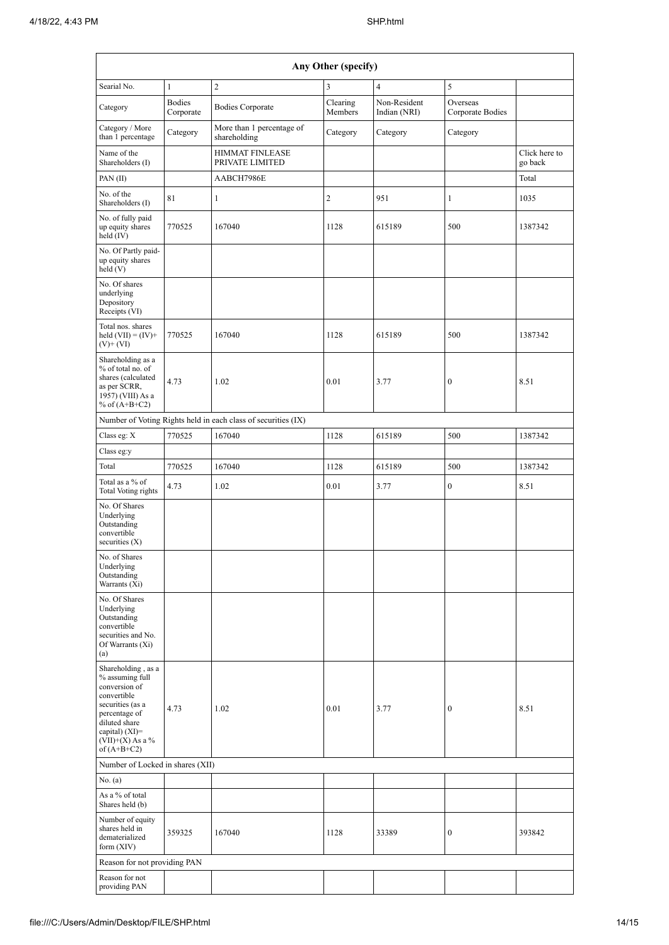| Any Other (specify)                                                                                                                                                                    |                            |                                                               |                     |                              |                              |                          |  |  |  |  |  |
|----------------------------------------------------------------------------------------------------------------------------------------------------------------------------------------|----------------------------|---------------------------------------------------------------|---------------------|------------------------------|------------------------------|--------------------------|--|--|--|--|--|
| Searial No.                                                                                                                                                                            | $\mathbf{1}$               | $\sqrt{2}$                                                    | 3                   | $\overline{4}$               | 5                            |                          |  |  |  |  |  |
| Category                                                                                                                                                                               | <b>Bodies</b><br>Corporate | <b>Bodies Corporate</b>                                       | Clearing<br>Members | Non-Resident<br>Indian (NRI) | Overseas<br>Corporate Bodies |                          |  |  |  |  |  |
| Category / More<br>than 1 percentage                                                                                                                                                   | Category                   | More than 1 percentage of<br>shareholding                     | Category            | Category                     | Category                     |                          |  |  |  |  |  |
| Name of the<br>Shareholders (I)                                                                                                                                                        |                            | <b>HIMMAT FINLEASE</b><br>PRIVATE LIMITED                     |                     |                              |                              | Click here to<br>go back |  |  |  |  |  |
| PAN(II)                                                                                                                                                                                |                            | AABCH7986E                                                    |                     |                              |                              | Total                    |  |  |  |  |  |
| No. of the<br>Shareholders (I)                                                                                                                                                         | 81                         | 1                                                             | $\mathbf{2}$        | 951                          | 1                            | 1035                     |  |  |  |  |  |
| No. of fully paid<br>up equity shares<br>held (IV)                                                                                                                                     | 770525                     | 167040                                                        | 1128                | 615189                       | 500                          | 1387342                  |  |  |  |  |  |
| No. Of Partly paid-<br>up equity shares<br>held(V)                                                                                                                                     |                            |                                                               |                     |                              |                              |                          |  |  |  |  |  |
| No. Of shares<br>underlying<br>Depository<br>Receipts (VI)                                                                                                                             |                            |                                                               |                     |                              |                              |                          |  |  |  |  |  |
| Total nos. shares<br>held $(VII) = (IV) +$<br>$(V)$ + $(VI)$                                                                                                                           | 770525                     | 167040                                                        | 1128                | 615189                       | 500                          | 1387342                  |  |  |  |  |  |
| Shareholding as a<br>% of total no. of<br>shares (calculated<br>as per SCRR,<br>1957) (VIII) As a<br>% of $(A+B+C2)$                                                                   | 4.73                       | 1.02                                                          | 0.01                | 3.77                         | $\boldsymbol{0}$             | 8.51                     |  |  |  |  |  |
|                                                                                                                                                                                        |                            | Number of Voting Rights held in each class of securities (IX) |                     |                              |                              |                          |  |  |  |  |  |
| Class eg: X                                                                                                                                                                            | 770525                     | 167040                                                        | 1128                | 615189                       | 500                          | 1387342                  |  |  |  |  |  |
| Class eg:y                                                                                                                                                                             |                            |                                                               |                     |                              |                              |                          |  |  |  |  |  |
| Total                                                                                                                                                                                  | 770525                     | 167040                                                        | 1128                | 615189                       | 500                          | 1387342                  |  |  |  |  |  |
| Total as a % of<br>Total Voting rights                                                                                                                                                 | 4.73                       | 1.02                                                          | 0.01                | 3.77                         | $\boldsymbol{0}$             | 8.51                     |  |  |  |  |  |
| No. Of Shares<br>Underlying<br>Outstanding<br>convertible<br>securities $(X)$                                                                                                          |                            |                                                               |                     |                              |                              |                          |  |  |  |  |  |
| No. of Shares<br>Underlying<br>Outstanding<br>Warrants (Xi)                                                                                                                            |                            |                                                               |                     |                              |                              |                          |  |  |  |  |  |
| No. Of Shares<br>Underlying<br>Outstanding<br>convertible<br>securities and No.<br>Of Warrants (Xi)<br>(a)                                                                             |                            |                                                               |                     |                              |                              |                          |  |  |  |  |  |
| Shareholding, as a<br>% assuming full<br>conversion of<br>convertible<br>securities (as a<br>percentage of<br>diluted share<br>capital) $(XI)=$<br>$(VII)+(X)$ As a %<br>of $(A+B+C2)$ | 4.73                       | 1.02                                                          | 0.01                | 3.77                         | $\boldsymbol{0}$             | 8.51                     |  |  |  |  |  |
| Number of Locked in shares (XII)                                                                                                                                                       |                            |                                                               |                     |                              |                              |                          |  |  |  |  |  |
| No. (a)                                                                                                                                                                                |                            |                                                               |                     |                              |                              |                          |  |  |  |  |  |
| As a % of total<br>Shares held (b)                                                                                                                                                     |                            |                                                               |                     |                              |                              |                          |  |  |  |  |  |
| Number of equity<br>shares held in<br>dematerialized<br>form $(XIV)$                                                                                                                   | 359325                     | 167040                                                        | 1128                | 33389                        | 0                            | 393842                   |  |  |  |  |  |
| Reason for not providing PAN                                                                                                                                                           |                            |                                                               |                     |                              |                              |                          |  |  |  |  |  |
| Reason for not<br>providing PAN                                                                                                                                                        |                            |                                                               |                     |                              |                              |                          |  |  |  |  |  |